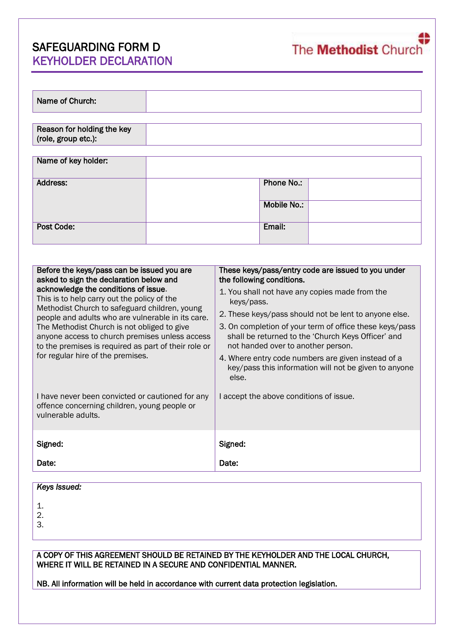# SAFEGUARDING FORM D KEYHOLDER DECLARATION

| Name of Church:                                   |                    |  |
|---------------------------------------------------|--------------------|--|
|                                                   |                    |  |
| Reason for holding the key<br>(role, group etc.): |                    |  |
|                                                   |                    |  |
| Name of key holder:                               |                    |  |
| Address:                                          | <b>Phone No.:</b>  |  |
|                                                   | <b>Mobile No.:</b> |  |
| <b>Post Code:</b>                                 | Email:             |  |

| Before the keys/pass can be issued you are<br>asked to sign the declaration below and<br>acknowledge the conditions of issue.<br>This is to help carry out the policy of the<br>Methodist Church to safeguard children, young<br>people and adults who are vulnerable in its care.<br>The Methodist Church is not obliged to give<br>anyone access to church premises unless access<br>to the premises is required as part of their role or | These keys/pass/entry code are issued to you under<br>the following conditions.<br>1. You shall not have any copies made from the                                                                                          |  |  |
|---------------------------------------------------------------------------------------------------------------------------------------------------------------------------------------------------------------------------------------------------------------------------------------------------------------------------------------------------------------------------------------------------------------------------------------------|----------------------------------------------------------------------------------------------------------------------------------------------------------------------------------------------------------------------------|--|--|
|                                                                                                                                                                                                                                                                                                                                                                                                                                             | keys/pass.<br>2. These keys/pass should not be lent to anyone else.<br>3. On completion of your term of office these keys/pass<br>shall be returned to the 'Church Keys Officer' and<br>not handed over to another person. |  |  |
| for regular hire of the premises.                                                                                                                                                                                                                                                                                                                                                                                                           | 4. Where entry code numbers are given instead of a<br>key/pass this information will not be given to anyone<br>else.                                                                                                       |  |  |
| I have never been convicted or cautioned for any<br>offence concerning children, young people or<br>vulnerable adults.                                                                                                                                                                                                                                                                                                                      | I accept the above conditions of issue.                                                                                                                                                                                    |  |  |
| Signed:                                                                                                                                                                                                                                                                                                                                                                                                                                     | Signed:                                                                                                                                                                                                                    |  |  |
| Date:                                                                                                                                                                                                                                                                                                                                                                                                                                       | Date:                                                                                                                                                                                                                      |  |  |

| <b>Keys Issued:</b> |  |
|---------------------|--|
|                     |  |
|                     |  |
|                     |  |
|                     |  |

A COPY OF THIS AGREEMENT SHOULD BE RETAINED BY THE KEYHOLDER AND THE LOCAL CHURCH, WHERE IT WILL BE RETAINED IN A SECURE AND CONFIDENTIAL MANNER.

NB. All information will be held in accordance with current data protection legislation.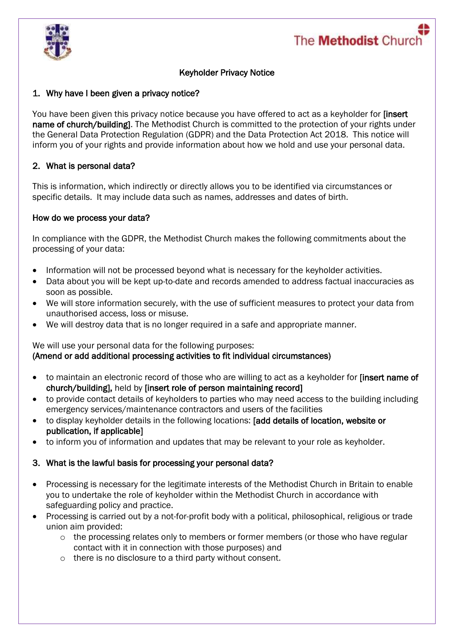



# Keyholder Privacy Notice

## 1. Why have I been given a privacy notice?

You have been given this privacy notice because you have offered to act as a keyholder for [insert] name of church/building]. The Methodist Church is committed to the protection of your rights under the General Data Protection Regulation (GDPR) and the Data Protection Act 2018. This notice will inform you of your rights and provide information about how we hold and use your personal data.

## 2. What is personal data?

This is information, which indirectly or directly allows you to be identified via circumstances or specific details. It may include data such as names, addresses and dates of birth.

#### How do we process your data?

In compliance with the GDPR, the Methodist Church makes the following commitments about the processing of your data:

- Information will not be processed beyond what is necessary for the keyholder activities.
- Data about you will be kept up-to-date and records amended to address factual inaccuracies as soon as possible.
- We will store information securely, with the use of sufficient measures to protect your data from unauthorised access, loss or misuse.
- We will destroy data that is no longer required in a safe and appropriate manner.

We will use your personal data for the following purposes: (Amend or add additional processing activities to fit individual circumstances)

- to maintain an electronic record of those who are willing to act as a keyholder for [insert name of church/building], held by [insert role of person maintaining record]
- to provide contact details of keyholders to parties who may need access to the building including emergency services/maintenance contractors and users of the facilities
- to display keyholder details in the following locations: [add details of location, website or publication, if applicable]
- to inform you of information and updates that may be relevant to your role as keyholder.

#### 3. What is the lawful basis for processing your personal data?

- Processing is necessary for the legitimate interests of the Methodist Church in Britain to enable you to undertake the role of keyholder within the Methodist Church in accordance with safeguarding policy and practice.
- Processing is carried out by a not-for-profit body with a political, philosophical, religious or trade union aim provided:
	- o the processing relates only to members or former members (or those who have regular contact with it in connection with those purposes) and
	- o there is no disclosure to a third party without consent.